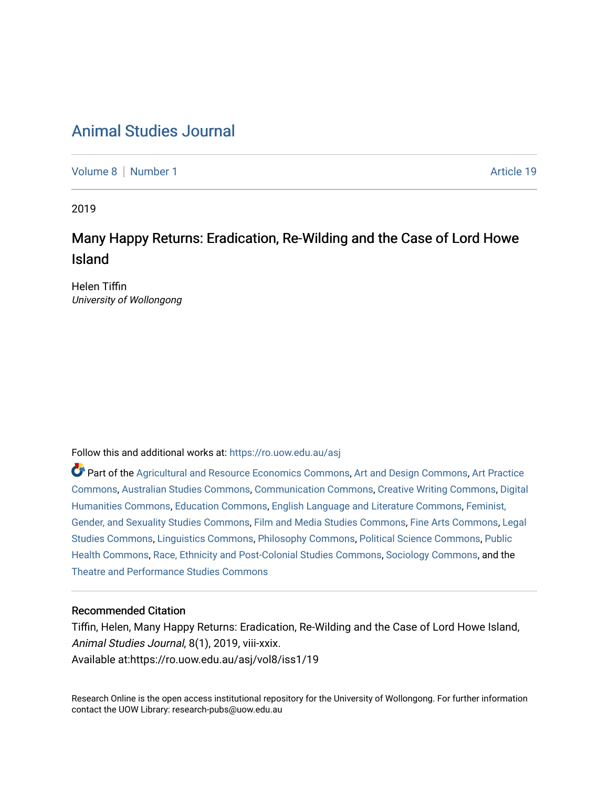# [Animal Studies Journal](https://ro.uow.edu.au/asj)

[Volume 8](https://ro.uow.edu.au/asj/vol8) | [Number 1](https://ro.uow.edu.au/asj/vol8/iss1) Article 19

2019

# Many Happy Returns: Eradication, Re-Wilding and the Case of Lord Howe Island

Helen Tiffin University of Wollongong

Follow this and additional works at: [https://ro.uow.edu.au/asj](https://ro.uow.edu.au/asj?utm_source=ro.uow.edu.au%2Fasj%2Fvol8%2Fiss1%2F19&utm_medium=PDF&utm_campaign=PDFCoverPages) 

Part of the [Agricultural and Resource Economics Commons,](http://network.bepress.com/hgg/discipline/317?utm_source=ro.uow.edu.au%2Fasj%2Fvol8%2Fiss1%2F19&utm_medium=PDF&utm_campaign=PDFCoverPages) [Art and Design Commons](http://network.bepress.com/hgg/discipline/1049?utm_source=ro.uow.edu.au%2Fasj%2Fvol8%2Fiss1%2F19&utm_medium=PDF&utm_campaign=PDFCoverPages), [Art Practice](http://network.bepress.com/hgg/discipline/509?utm_source=ro.uow.edu.au%2Fasj%2Fvol8%2Fiss1%2F19&utm_medium=PDF&utm_campaign=PDFCoverPages) [Commons](http://network.bepress.com/hgg/discipline/509?utm_source=ro.uow.edu.au%2Fasj%2Fvol8%2Fiss1%2F19&utm_medium=PDF&utm_campaign=PDFCoverPages), [Australian Studies Commons,](http://network.bepress.com/hgg/discipline/1020?utm_source=ro.uow.edu.au%2Fasj%2Fvol8%2Fiss1%2F19&utm_medium=PDF&utm_campaign=PDFCoverPages) [Communication Commons,](http://network.bepress.com/hgg/discipline/325?utm_source=ro.uow.edu.au%2Fasj%2Fvol8%2Fiss1%2F19&utm_medium=PDF&utm_campaign=PDFCoverPages) [Creative Writing Commons,](http://network.bepress.com/hgg/discipline/574?utm_source=ro.uow.edu.au%2Fasj%2Fvol8%2Fiss1%2F19&utm_medium=PDF&utm_campaign=PDFCoverPages) [Digital](http://network.bepress.com/hgg/discipline/1286?utm_source=ro.uow.edu.au%2Fasj%2Fvol8%2Fiss1%2F19&utm_medium=PDF&utm_campaign=PDFCoverPages) [Humanities Commons,](http://network.bepress.com/hgg/discipline/1286?utm_source=ro.uow.edu.au%2Fasj%2Fvol8%2Fiss1%2F19&utm_medium=PDF&utm_campaign=PDFCoverPages) [Education Commons,](http://network.bepress.com/hgg/discipline/784?utm_source=ro.uow.edu.au%2Fasj%2Fvol8%2Fiss1%2F19&utm_medium=PDF&utm_campaign=PDFCoverPages) [English Language and Literature Commons](http://network.bepress.com/hgg/discipline/455?utm_source=ro.uow.edu.au%2Fasj%2Fvol8%2Fiss1%2F19&utm_medium=PDF&utm_campaign=PDFCoverPages), [Feminist,](http://network.bepress.com/hgg/discipline/559?utm_source=ro.uow.edu.au%2Fasj%2Fvol8%2Fiss1%2F19&utm_medium=PDF&utm_campaign=PDFCoverPages) [Gender, and Sexuality Studies Commons](http://network.bepress.com/hgg/discipline/559?utm_source=ro.uow.edu.au%2Fasj%2Fvol8%2Fiss1%2F19&utm_medium=PDF&utm_campaign=PDFCoverPages), [Film and Media Studies Commons](http://network.bepress.com/hgg/discipline/563?utm_source=ro.uow.edu.au%2Fasj%2Fvol8%2Fiss1%2F19&utm_medium=PDF&utm_campaign=PDFCoverPages), [Fine Arts Commons,](http://network.bepress.com/hgg/discipline/1141?utm_source=ro.uow.edu.au%2Fasj%2Fvol8%2Fiss1%2F19&utm_medium=PDF&utm_campaign=PDFCoverPages) [Legal](http://network.bepress.com/hgg/discipline/366?utm_source=ro.uow.edu.au%2Fasj%2Fvol8%2Fiss1%2F19&utm_medium=PDF&utm_campaign=PDFCoverPages)  [Studies Commons,](http://network.bepress.com/hgg/discipline/366?utm_source=ro.uow.edu.au%2Fasj%2Fvol8%2Fiss1%2F19&utm_medium=PDF&utm_campaign=PDFCoverPages) [Linguistics Commons,](http://network.bepress.com/hgg/discipline/371?utm_source=ro.uow.edu.au%2Fasj%2Fvol8%2Fiss1%2F19&utm_medium=PDF&utm_campaign=PDFCoverPages) [Philosophy Commons](http://network.bepress.com/hgg/discipline/525?utm_source=ro.uow.edu.au%2Fasj%2Fvol8%2Fiss1%2F19&utm_medium=PDF&utm_campaign=PDFCoverPages), [Political Science Commons](http://network.bepress.com/hgg/discipline/386?utm_source=ro.uow.edu.au%2Fasj%2Fvol8%2Fiss1%2F19&utm_medium=PDF&utm_campaign=PDFCoverPages), [Public](http://network.bepress.com/hgg/discipline/738?utm_source=ro.uow.edu.au%2Fasj%2Fvol8%2Fiss1%2F19&utm_medium=PDF&utm_campaign=PDFCoverPages) [Health Commons,](http://network.bepress.com/hgg/discipline/738?utm_source=ro.uow.edu.au%2Fasj%2Fvol8%2Fiss1%2F19&utm_medium=PDF&utm_campaign=PDFCoverPages) [Race, Ethnicity and Post-Colonial Studies Commons,](http://network.bepress.com/hgg/discipline/566?utm_source=ro.uow.edu.au%2Fasj%2Fvol8%2Fiss1%2F19&utm_medium=PDF&utm_campaign=PDFCoverPages) [Sociology Commons](http://network.bepress.com/hgg/discipline/416?utm_source=ro.uow.edu.au%2Fasj%2Fvol8%2Fiss1%2F19&utm_medium=PDF&utm_campaign=PDFCoverPages), and the [Theatre and Performance Studies Commons](http://network.bepress.com/hgg/discipline/552?utm_source=ro.uow.edu.au%2Fasj%2Fvol8%2Fiss1%2F19&utm_medium=PDF&utm_campaign=PDFCoverPages) 

#### Recommended Citation

Tiffin, Helen, Many Happy Returns: Eradication, Re-Wilding and the Case of Lord Howe Island, Animal Studies Journal, 8(1), 2019, viii-xxix. Available at:https://ro.uow.edu.au/asj/vol8/iss1/19

Research Online is the open access institutional repository for the University of Wollongong. For further information contact the UOW Library: research-pubs@uow.edu.au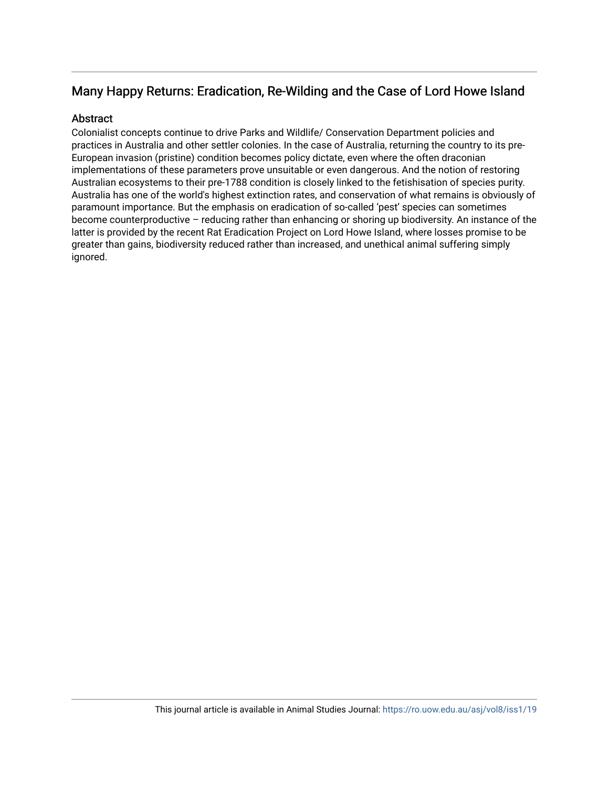## Many Happy Returns: Eradication, Re-Wilding and the Case of Lord Howe Island

#### **Abstract**

Colonialist concepts continue to drive Parks and Wildlife/ Conservation Department policies and practices in Australia and other settler colonies. In the case of Australia, returning the country to its pre-European invasion (pristine) condition becomes policy dictate, even where the often draconian implementations of these parameters prove unsuitable or even dangerous. And the notion of restoring Australian ecosystems to their pre-1788 condition is closely linked to the fetishisation of species purity. Australia has one of the world's highest extinction rates, and conservation of what remains is obviously of paramount importance. But the emphasis on eradication of so-called 'pest' species can sometimes become counterproductive – reducing rather than enhancing or shoring up biodiversity. An instance of the latter is provided by the recent Rat Eradication Project on Lord Howe Island, where losses promise to be greater than gains, biodiversity reduced rather than increased, and unethical animal suffering simply ignored.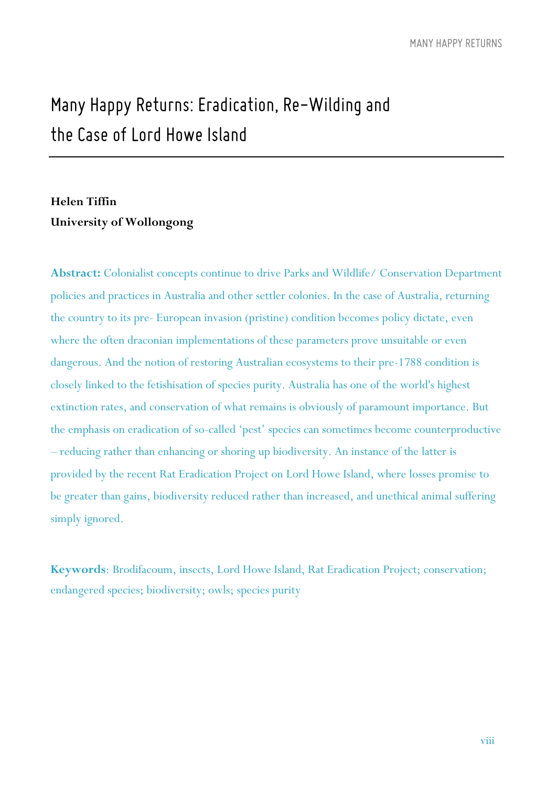# *Many Happy Returns: Eradication, Re-Wilding and the Case of Lord Howe Island*

### **Helen Tiffin University of Wollongong**

**Abstract:** Colonialist concepts continue to drive Parks and Wildlife/ Conservation Department policies and practices in Australia and other settler colonies. In the case of Australia, returning the country to its pre- European invasion (pristine) condition becomes policy dictate, even where the often draconian implementations of these parameters prove unsuitable or even dangerous. And the notion of restoring Australian ecosystems to their pre-1788 condition is closely linked to the fetishisation of species purity. Australia has one of the world's highest extinction rates, and conservation of what remains is obviously of paramount importance. But the emphasis on eradication of so-called 'pest' species can sometimes become counterproductive – reducing rather than enhancing or shoring up biodiversity. An instance of the latter is provided by the recent Rat Eradication Project on Lord Howe Island, where losses promise to be greater than gains, biodiversity reduced rather than increased, and unethical animal suffering simply ignored.

**Keywords**: Brodifacoum, insects, Lord Howe Island, Rat Eradication Project; conservation; endangered species; biodiversity; owls; species purity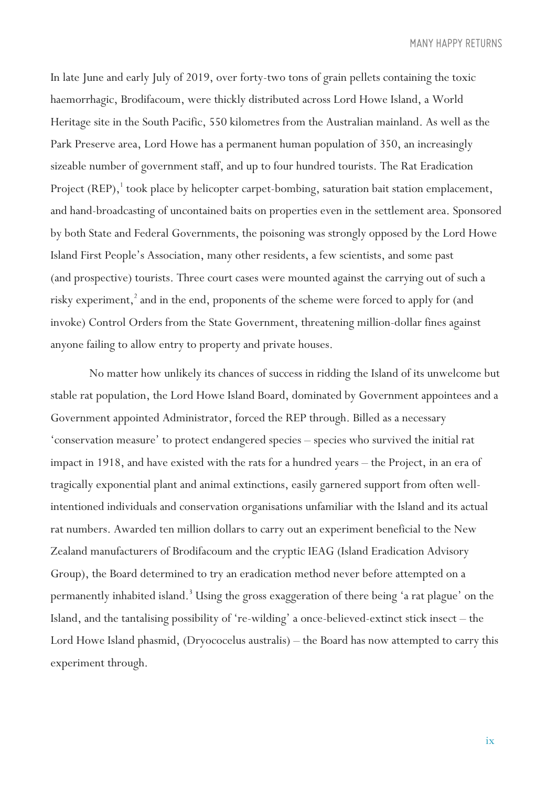In late June and early July of 2019, over forty-two tons of grain pellets containing the toxic haemorrhagic, Brodifacoum, were thickly distributed across Lord Howe Island, a World Heritage site in the South Pacific, 550 kilometres from the Australian mainland. As well as the Park Preserve area, Lord Howe has a permanent human population of 350, an increasingly sizeable number of government staff, and up to four hundred tourists. The Rat Eradication Project (REP),<sup>1</sup> took place by helicopter carpet-bombing, saturation bait station emplacement, and hand-broadcasting of uncontained baits on properties even in the settlement area. Sponsored by both State and Federal Governments, the poisoning was strongly opposed by the Lord Howe Island First People's Association, many other residents, a few scientists, and some past (and prospective) tourists. Three court cases were mounted against the carrying out of such a risky experiment,<sup>2</sup> and in the end, proponents of the scheme were forced to apply for (and invoke) Control Orders from the State Government, threatening million-dollar fines against anyone failing to allow entry to property and private houses.

No matter how unlikely its chances of success in ridding the Island of its unwelcome but stable rat population, the Lord Howe Island Board, dominated by Government appointees and a Government appointed Administrator, forced the REP through. Billed as a necessary 'conservation measure' to protect endangered species – species who survived the initial rat impact in 1918, and have existed with the rats for a hundred years – the Project, in an era of tragically exponential plant and animal extinctions, easily garnered support from often wellintentioned individuals and conservation organisations unfamiliar with the Island and its actual rat numbers. Awarded ten million dollars to carry out an experiment beneficial to the New Zealand manufacturers of Brodifacoum and the cryptic IEAG (Island Eradication Advisory Group), the Board determined to try an eradication method never before attempted on a permanently inhabited island.<sup>3</sup> Using the gross exaggeration of there being 'a rat plague' on the Island, and the tantalising possibility of 're-wilding' a once-believed-extinct stick insect – the Lord Howe Island phasmid, (Dryococelus australis) – the Board has now attempted to carry this experiment through.

ix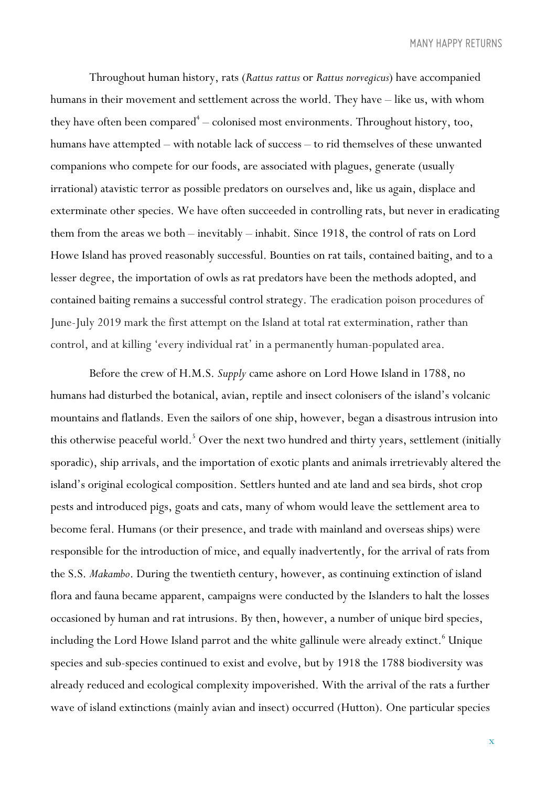Throughout human history, rats (*Rattus rattus* or *Rattus norvegicus*) have accompanied humans in their movement and settlement across the world. They have – like us, with whom they have often been compared $^{\rm 4} -$  colonised most environments. Throughout history, too, humans have attempted – with notable lack of success – to rid themselves of these unwanted companions who compete for our foods, are associated with plagues, generate (usually irrational) atavistic terror as possible predators on ourselves and, like us again, displace and exterminate other species. We have often succeeded in controlling rats, but never in eradicating them from the areas we both – inevitably – inhabit. Since 1918, the control of rats on Lord Howe Island has proved reasonably successful. Bounties on rat tails, contained baiting, and to a lesser degree, the importation of owls as rat predators have been the methods adopted, and contained baiting remains a successful control strategy. The eradication poison procedures of June-July 2019 mark the first attempt on the Island at total rat extermination, rather than control, and at killing 'every individual rat' in a permanently human-populated area.

Before the crew of H.M.S. *Supply* came ashore on Lord Howe Island in 1788, no humans had disturbed the botanical, avian, reptile and insect colonisers of the island's volcanic mountains and flatlands. Even the sailors of one ship, however, began a disastrous intrusion into this otherwise peaceful world.<sup>5</sup> Over the next two hundred and thirty years, settlement (initially sporadic), ship arrivals, and the importation of exotic plants and animals irretrievably altered the island's original ecological composition. Settlers hunted and ate land and sea birds, shot crop pests and introduced pigs, goats and cats, many of whom would leave the settlement area to become feral. Humans (or their presence, and trade with mainland and overseas ships) were responsible for the introduction of mice, and equally inadvertently, for the arrival of rats from the S.S. *Makambo*. During the twentieth century, however, as continuing extinction of island flora and fauna became apparent, campaigns were conducted by the Islanders to halt the losses occasioned by human and rat intrusions. By then, however, a number of unique bird species, including the Lord Howe Island parrot and the white gallinule were already extinct.<sup>6</sup> Unique species and sub-species continued to exist and evolve, but by 1918 the 1788 biodiversity was already reduced and ecological complexity impoverished. With the arrival of the rats a further wave of island extinctions (mainly avian and insect) occurred (Hutton). One particular species

x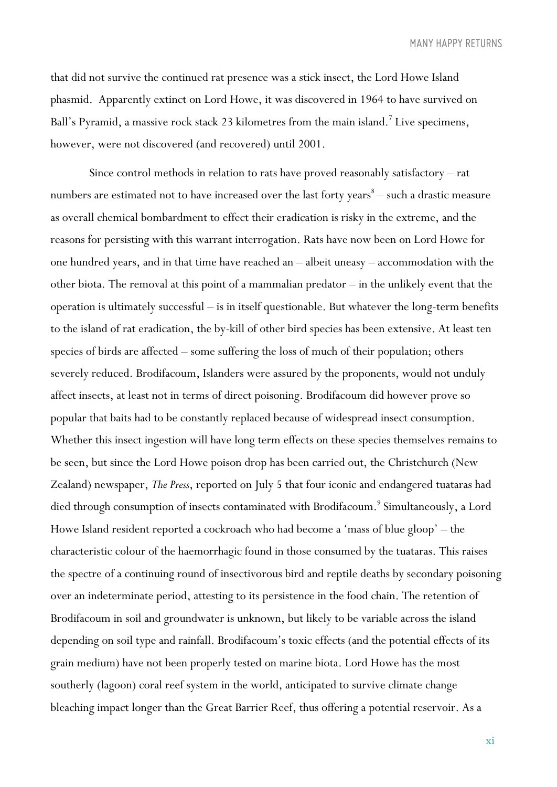that did not survive the continued rat presence was a stick insect, the Lord Howe Island phasmid. Apparently extinct on Lord Howe, it was discovered in 1964 to have survived on Ball's Pyramid, a massive rock stack 23 kilometres from the main island.<sup>7</sup> Live specimens, however, were not discovered (and recovered) until 2001.

Since control methods in relation to rats have proved reasonably satisfactory – rat numbers are estimated not to have increased over the last forty years $<sup>8</sup>$  – such a drastic measure</sup> as overall chemical bombardment to effect their eradication is risky in the extreme, and the reasons for persisting with this warrant interrogation. Rats have now been on Lord Howe for one hundred years, and in that time have reached an – albeit uneasy – accommodation with the other biota. The removal at this point of a mammalian predator – in the unlikely event that the operation is ultimately successful – is in itself questionable. But whatever the long-term benefits to the island of rat eradication, the by-kill of other bird species has been extensive. At least ten species of birds are affected – some suffering the loss of much of their population; others severely reduced. Brodifacoum, Islanders were assured by the proponents, would not unduly affect insects, at least not in terms of direct poisoning. Brodifacoum did however prove so popular that baits had to be constantly replaced because of widespread insect consumption. Whether this insect ingestion will have long term effects on these species themselves remains to be seen, but since the Lord Howe poison drop has been carried out, the Christchurch (New Zealand) newspaper, *The Press*, reported on July 5 that four iconic and endangered tuataras had died through consumption of insects contaminated with Brodifacoum.<sup>9</sup> Simultaneously, a Lord Howe Island resident reported a cockroach who had become a 'mass of blue gloop' – the characteristic colour of the haemorrhagic found in those consumed by the tuataras. This raises the spectre of a continuing round of insectivorous bird and reptile deaths by secondary poisoning over an indeterminate period, attesting to its persistence in the food chain. The retention of Brodifacoum in soil and groundwater is unknown, but likely to be variable across the island depending on soil type and rainfall. Brodifacoum's toxic effects (and the potential effects of its grain medium) have not been properly tested on marine biota. Lord Howe has the most southerly (lagoon) coral reef system in the world, anticipated to survive climate change bleaching impact longer than the Great Barrier Reef, thus offering a potential reservoir. As a

xi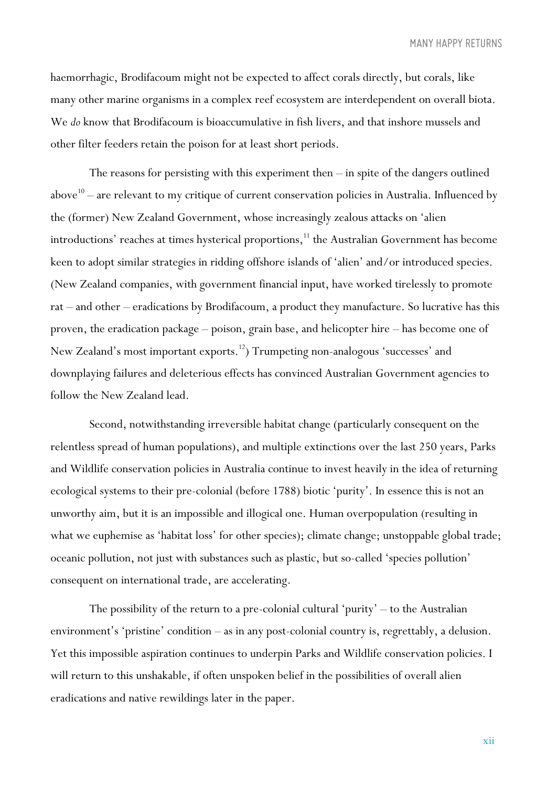haemorrhagic, Brodifacoum might not be expected to affect corals directly, but corals, like many other marine organisms in a complex reef ecosystem are interdependent on overall biota. We *do* know that Brodifacoum is bioaccumulative in fish livers, and that inshore mussels and other filter feeders retain the poison for at least short periods.

The reasons for persisting with this experiment then – in spite of the dangers outlined above<sup>10</sup> – are relevant to my critique of current conservation policies in Australia. Influenced by the (former) New Zealand Government, whose increasingly zealous attacks on 'alien introductions' reaches at times hysterical proportions, <sup>11</sup> the Australian Government has become keen to adopt similar strategies in ridding offshore islands of 'alien' and/or introduced species. (New Zealand companies, with government financial input, have worked tirelessly to promote rat – and other – eradications by Brodifacoum, a product they manufacture. So lucrative has this proven, the eradication package – poison, grain base, and helicopter hire – has become one of New Zealand's most important exports. 12) Trumpeting non-analogous 'successes' and downplaying failures and deleterious effects has convinced Australian Government agencies to follow the New Zealand lead.

Second, notwithstanding irreversible habitat change (particularly consequent on the relentless spread of human populations), and multiple extinctions over the last 250 years, Parks and Wildlife conservation policies in Australia continue to invest heavily in the idea of returning ecological systems to their pre-colonial (before 1788) biotic 'purity'. In essence this is not an unworthy aim, but it is an impossible and illogical one. Human overpopulation (resulting in what we euphemise as 'habitat loss' for other species); climate change; unstoppable global trade; oceanic pollution, not just with substances such as plastic, but so-called 'species pollution' consequent on international trade, are accelerating.

The possibility of the return to a pre-colonial cultural 'purity' – to the Australian environment's 'pristine' condition – as in any post-colonial country is, regrettably, a delusion. Yet this impossible aspiration continues to underpin Parks and Wildlife conservation policies. I will return to this unshakable, if often unspoken belief in the possibilities of overall alien eradications and native rewildings later in the paper.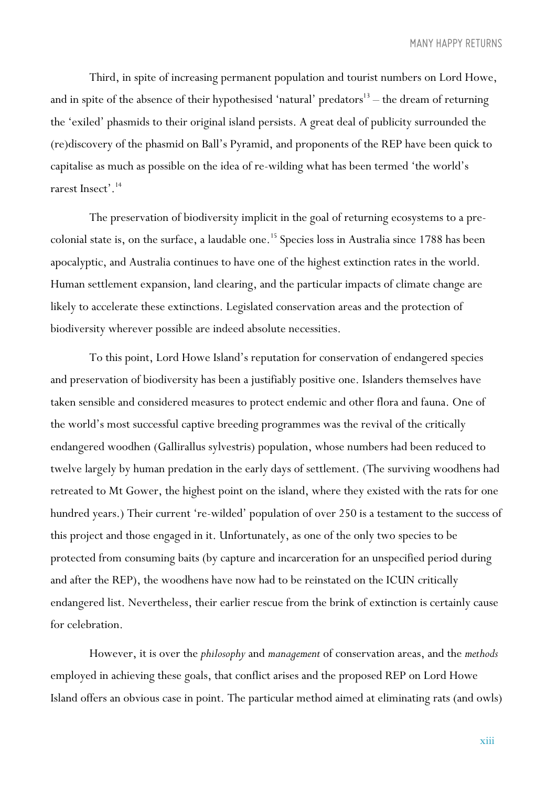Third, in spite of increasing permanent population and tourist numbers on Lord Howe, and in spite of the absence of their hypothesised 'natural' predators<sup>13</sup> – the dream of returning the 'exiled' phasmids to their original island persists. A great deal of publicity surrounded the (re)discovery of the phasmid on Ball's Pyramid, and proponents of the REP have been quick to capitalise as much as possible on the idea of re-wilding what has been termed 'the world's rarest Insect'. 14

The preservation of biodiversity implicit in the goal of returning ecosystems to a precolonial state is, on the surface, a laudable one. <sup>15</sup> Species loss in Australia since 1788 has been apocalyptic, and Australia continues to have one of the highest extinction rates in the world. Human settlement expansion, land clearing, and the particular impacts of climate change are likely to accelerate these extinctions. Legislated conservation areas and the protection of biodiversity wherever possible are indeed absolute necessities.

To this point, Lord Howe Island's reputation for conservation of endangered species and preservation of biodiversity has been a justifiably positive one. Islanders themselves have taken sensible and considered measures to protect endemic and other flora and fauna. One of the world's most successful captive breeding programmes was the revival of the critically endangered woodhen (Gallirallus sylvestris) population, whose numbers had been reduced to twelve largely by human predation in the early days of settlement. (The surviving woodhens had retreated to Mt Gower, the highest point on the island, where they existed with the rats for one hundred years.) Their current 're-wilded' population of over 250 is a testament to the success of this project and those engaged in it. Unfortunately, as one of the only two species to be protected from consuming baits (by capture and incarceration for an unspecified period during and after the REP), the woodhens have now had to be reinstated on the ICUN critically endangered list. Nevertheless, their earlier rescue from the brink of extinction is certainly cause for celebration.

However, it is over the *philosophy* and *management* of conservation areas, and the *methods*  employed in achieving these goals, that conflict arises and the proposed REP on Lord Howe Island offers an obvious case in point. The particular method aimed at eliminating rats (and owls)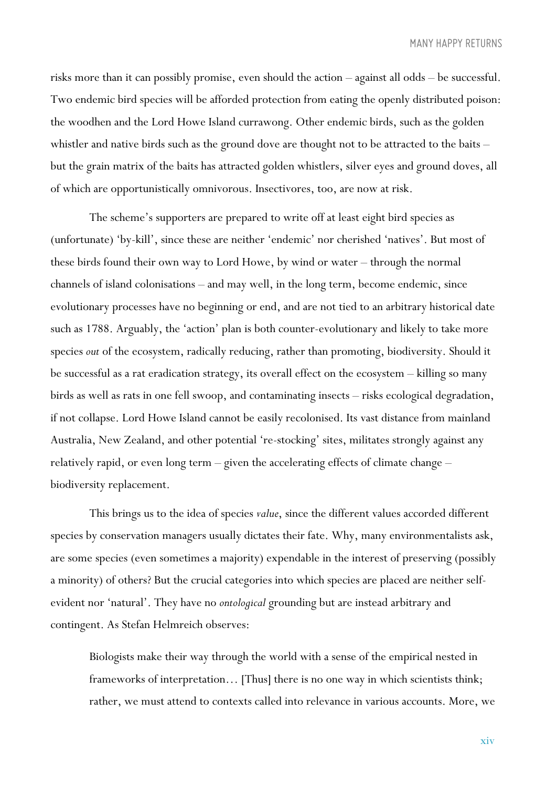risks more than it can possibly promise, even should the action – against all odds – be successful. Two endemic bird species will be afforded protection from eating the openly distributed poison: the woodhen and the Lord Howe Island currawong. Other endemic birds, such as the golden whistler and native birds such as the ground dove are thought not to be attracted to the baits – but the grain matrix of the baits has attracted golden whistlers, silver eyes and ground doves, all of which are opportunistically omnivorous. Insectivores, too, are now at risk.

The scheme's supporters are prepared to write off at least eight bird species as (unfortunate) 'by-kill', since these are neither 'endemic' nor cherished 'natives'. But most of these birds found their own way to Lord Howe, by wind or water – through the normal channels of island colonisations – and may well, in the long term, become endemic, since evolutionary processes have no beginning or end, and are not tied to an arbitrary historical date such as 1788. Arguably, the 'action' plan is both counter-evolutionary and likely to take more species *out* of the ecosystem, radically reducing, rather than promoting, biodiversity. Should it be successful as a rat eradication strategy, its overall effect on the ecosystem – killing so many birds as well as rats in one fell swoop, and contaminating insects – risks ecological degradation, if not collapse. Lord Howe Island cannot be easily recolonised. Its vast distance from mainland Australia, New Zealand, and other potential 're-stocking' sites, militates strongly against any relatively rapid, or even long term – given the accelerating effects of climate change – biodiversity replacement.

This brings us to the idea of species *value*, since the different values accorded different species by conservation managers usually dictates their fate. Why, many environmentalists ask, are some species (even sometimes a majority) expendable in the interest of preserving (possibly a minority) of others? But the crucial categories into which species are placed are neither selfevident nor 'natural'. They have no *ontological* grounding but are instead arbitrary and contingent. As Stefan Helmreich observes:

Biologists make their way through the world with a sense of the empirical nested in frameworks of interpretation… [Thus] there is no one way in which scientists think; rather, we must attend to contexts called into relevance in various accounts. More, we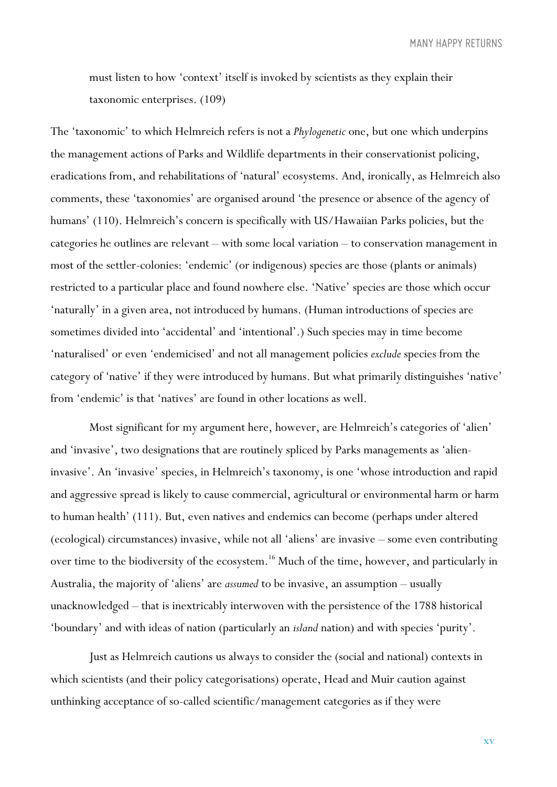must listen to how 'context' itself is invoked by scientists as they explain their taxonomic enterprises. (109)

The 'taxonomic' to which Helmreich refers is not a *Phylogenetic* one, but one which underpins the management actions of Parks and Wildlife departments in their conservationist policing, eradications from, and rehabilitations of 'natural' ecosystems. And, ironically, as Helmreich also comments, these 'taxonomies' are organised around 'the presence or absence of the agency of humans' (110). Helmreich's concern is specifically with US/Hawaiian Parks policies, but the categories he outlines are relevant – with some local variation – to conservation management in most of the settler-colonies: 'endemic' (or indigenous) species are those (plants or animals) restricted to a particular place and found nowhere else. 'Native' species are those which occur 'naturally' in a given area, not introduced by humans. (Human introductions of species are sometimes divided into 'accidental' and 'intentional'.) Such species may in time become 'naturalised' or even 'endemicised' and not all management policies *exclude* species from the category of 'native' if they were introduced by humans. But what primarily distinguishes 'native' from 'endemic' is that 'natives' are found in other locations as well.

Most significant for my argument here, however, are Helmreich's categories of 'alien' and 'invasive', two designations that are routinely spliced by Parks managements as 'alieninvasive'. An 'invasive' species, in Helmreich's taxonomy, is one 'whose introduction and rapid and aggressive spread is likely to cause commercial, agricultural or environmental harm or harm to human health' (111). But, even natives and endemics can become (perhaps under altered (ecological) circumstances) invasive, while not all 'aliens' are invasive – some even contributing over time to the biodiversity of the ecosystem. <sup>16</sup> Much of the time, however, and particularly in Australia, the majority of 'aliens' are *assumed* to be invasive, an assumption – usually unacknowledged – that is inextricably interwoven with the persistence of the 1788 historical 'boundary' and with ideas of nation (particularly an *island* nation) and with species 'purity'.

Just as Helmreich cautions us always to consider the (social and national) contexts in which scientists (and their policy categorisations) operate, Head and Muir caution against unthinking acceptance of so-called scientific/management categories as if they were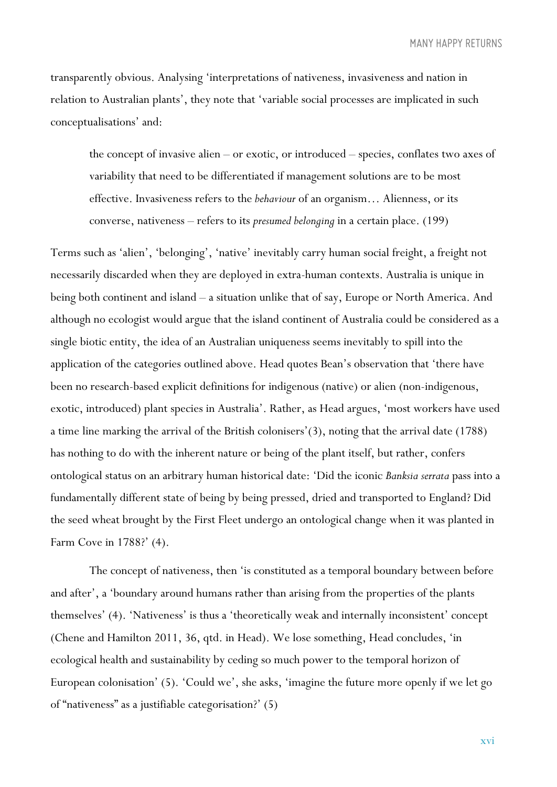transparently obvious. Analysing 'interpretations of nativeness, invasiveness and nation in relation to Australian plants', they note that 'variable social processes are implicated in such conceptualisations' and:

the concept of invasive alien – or exotic, or introduced – species, conflates two axes of variability that need to be differentiated if management solutions are to be most effective. Invasiveness refers to the *behaviour* of an organism… Alienness, or its converse, nativeness – refers to its *presumed belonging* in a certain place. (199)

Terms such as 'alien', 'belonging', 'native' inevitably carry human social freight, a freight not necessarily discarded when they are deployed in extra-human contexts. Australia is unique in being both continent and island – a situation unlike that of say, Europe or North America. And although no ecologist would argue that the island continent of Australia could be considered as a single biotic entity, the idea of an Australian uniqueness seems inevitably to spill into the application of the categories outlined above. Head quotes Bean's observation that 'there have been no research-based explicit definitions for indigenous (native) or alien (non-indigenous, exotic, introduced) plant species in Australia'. Rather, as Head argues, 'most workers have used a time line marking the arrival of the British colonisers'(3), noting that the arrival date (1788) has nothing to do with the inherent nature or being of the plant itself, but rather, confers ontological status on an arbitrary human historical date: 'Did the iconic *Banksia serrata* pass into a fundamentally different state of being by being pressed, dried and transported to England? Did the seed wheat brought by the First Fleet undergo an ontological change when it was planted in Farm Cove in 1788?' (4).

The concept of nativeness, then 'is constituted as a temporal boundary between before and after', a 'boundary around humans rather than arising from the properties of the plants themselves' (4). 'Nativeness' is thus a 'theoretically weak and internally inconsistent' concept (Chene and Hamilton 2011, 36, qtd. in Head). We lose something, Head concludes, 'in ecological health and sustainability by ceding so much power to the temporal horizon of European colonisation' (5). 'Could we', she asks, 'imagine the future more openly if we let go of "nativeness" as a justifiable categorisation?' (5)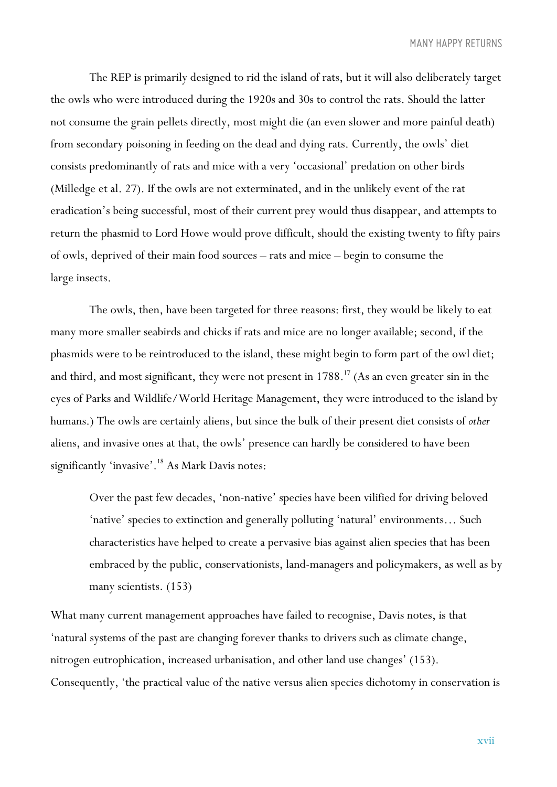The REP is primarily designed to rid the island of rats, but it will also deliberately target the owls who were introduced during the 1920s and 30s to control the rats. Should the latter not consume the grain pellets directly, most might die (an even slower and more painful death) from secondary poisoning in feeding on the dead and dying rats. Currently, the owls' diet consists predominantly of rats and mice with a very 'occasional' predation on other birds (Milledge et al. 27). If the owls are not exterminated, and in the unlikely event of the rat eradication's being successful, most of their current prey would thus disappear, and attempts to return the phasmid to Lord Howe would prove difficult, should the existing twenty to fifty pairs of owls, deprived of their main food sources – rats and mice – begin to consume the large insects.

The owls, then, have been targeted for three reasons: first, they would be likely to eat many more smaller seabirds and chicks if rats and mice are no longer available; second, if the phasmids were to be reintroduced to the island, these might begin to form part of the owl diet; and third, and most significant, they were not present in 1788.<sup>17</sup> (As an even greater sin in the eyes of Parks and Wildlife/World Heritage Management, they were introduced to the island by humans.) The owls are certainly aliens, but since the bulk of their present diet consists of *other* aliens, and invasive ones at that, the owls' presence can hardly be considered to have been significantly 'invasive'. <sup>18</sup> As Mark Davis notes:

Over the past few decades, 'non-native' species have been vilified for driving beloved 'native' species to extinction and generally polluting 'natural' environments… Such characteristics have helped to create a pervasive bias against alien species that has been embraced by the public, conservationists, land-managers and policymakers, as well as by many scientists. (153)

What many current management approaches have failed to recognise, Davis notes, is that 'natural systems of the past are changing forever thanks to drivers such as climate change, nitrogen eutrophication, increased urbanisation, and other land use changes' (153). Consequently, 'the practical value of the native versus alien species dichotomy in conservation is

xvii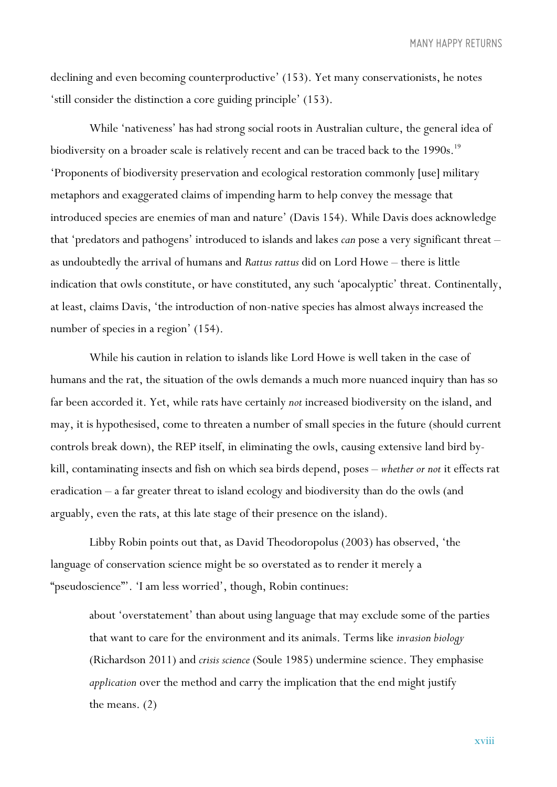declining and even becoming counterproductive' (153). Yet many conservationists, he notes 'still consider the distinction a core guiding principle' (153).

While 'nativeness' has had strong social roots in Australian culture, the general idea of biodiversity on a broader scale is relatively recent and can be traced back to the 1990s. <sup>19</sup> 'Proponents of biodiversity preservation and ecological restoration commonly [use] military metaphors and exaggerated claims of impending harm to help convey the message that introduced species are enemies of man and nature' (Davis 154). While Davis does acknowledge that 'predators and pathogens' introduced to islands and lakes *can* pose a very significant threat – as undoubtedly the arrival of humans and *Rattus rattus* did on Lord Howe – there is little indication that owls constitute, or have constituted, any such 'apocalyptic' threat. Continentally, at least, claims Davis, 'the introduction of non-native species has almost always increased the number of species in a region'  $(154)$ .

While his caution in relation to islands like Lord Howe is well taken in the case of humans and the rat, the situation of the owls demands a much more nuanced inquiry than has so far been accorded it. Yet, while rats have certainly *not* increased biodiversity on the island, and may, it is hypothesised, come to threaten a number of small species in the future (should current controls break down), the REP itself, in eliminating the owls, causing extensive land bird bykill, contaminating insects and fish on which sea birds depend, poses – *whether or not* it effects rat eradication – a far greater threat to island ecology and biodiversity than do the owls (and arguably, even the rats, at this late stage of their presence on the island).

Libby Robin points out that, as David Theodoropolus (2003) has observed, 'the language of conservation science might be so overstated as to render it merely a "pseudoscience"'. 'I am less worried', though, Robin continues:

about 'overstatement' than about using language that may exclude some of the parties that want to care for the environment and its animals. Terms like *invasion biology*  (Richardson 2011) and *crisis science* (Soule 1985) undermine science. They emphasise *application* over the method and carry the implication that the end might justify the means. (2)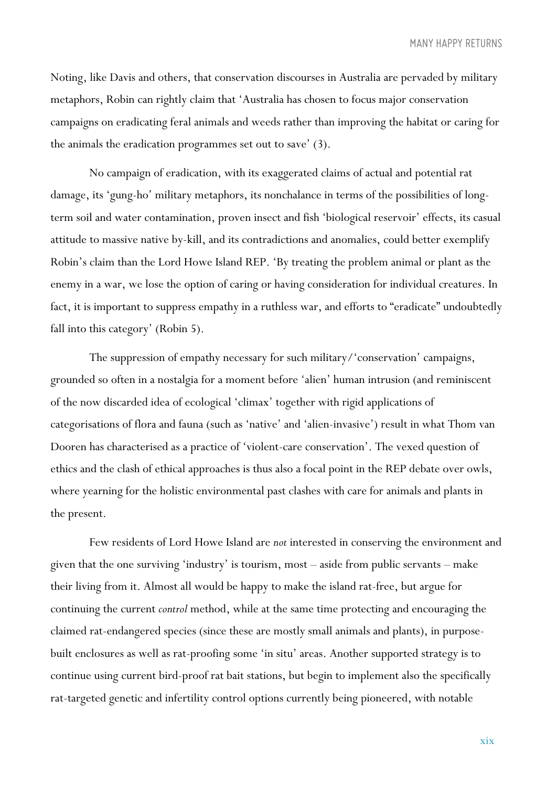Noting, like Davis and others, that conservation discourses in Australia are pervaded by military metaphors, Robin can rightly claim that 'Australia has chosen to focus major conservation campaigns on eradicating feral animals and weeds rather than improving the habitat or caring for the animals the eradication programmes set out to save' (3).

No campaign of eradication, with its exaggerated claims of actual and potential rat damage, its 'gung-ho' military metaphors, its nonchalance in terms of the possibilities of longterm soil and water contamination, proven insect and fish 'biological reservoir' effects, its casual attitude to massive native by-kill, and its contradictions and anomalies, could better exemplify Robin's claim than the Lord Howe Island REP. 'By treating the problem animal or plant as the enemy in a war, we lose the option of caring or having consideration for individual creatures. In fact, it is important to suppress empathy in a ruthless war, and efforts to "eradicate" undoubtedly fall into this category' (Robin 5).

The suppression of empathy necessary for such military/'conservation' campaigns, grounded so often in a nostalgia for a moment before 'alien' human intrusion (and reminiscent of the now discarded idea of ecological 'climax' together with rigid applications of categorisations of flora and fauna (such as 'native' and 'alien-invasive') result in what Thom van Dooren has characterised as a practice of 'violent-care conservation'. The vexed question of ethics and the clash of ethical approaches is thus also a focal point in the REP debate over owls, where yearning for the holistic environmental past clashes with care for animals and plants in the present.

Few residents of Lord Howe Island are *not* interested in conserving the environment and given that the one surviving 'industry' is tourism, most – aside from public servants – make their living from it. Almost all would be happy to make the island rat-free, but argue for continuing the current *control* method, while at the same time protecting and encouraging the claimed rat-endangered species (since these are mostly small animals and plants), in purposebuilt enclosures as well as rat-proofing some 'in situ' areas. Another supported strategy is to continue using current bird-proof rat bait stations, but begin to implement also the specifically rat-targeted genetic and infertility control options currently being pioneered, with notable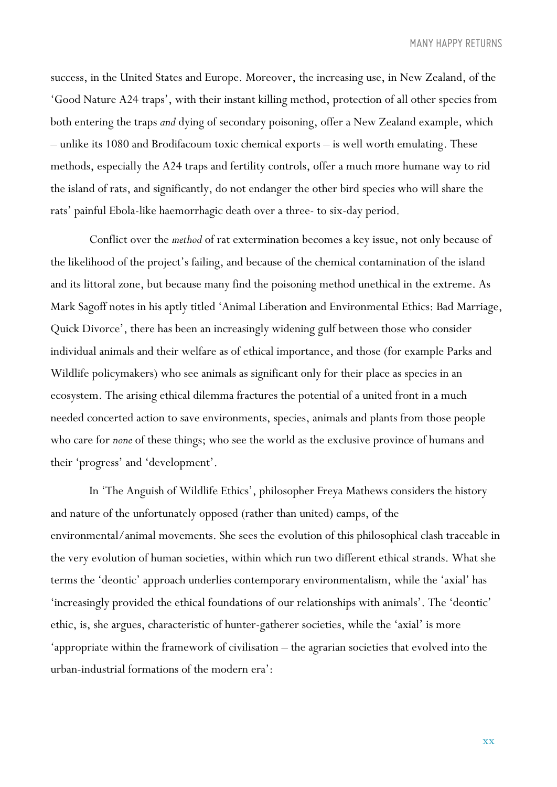success, in the United States and Europe. Moreover, the increasing use, in New Zealand, of the 'Good Nature A24 traps', with their instant killing method, protection of all other species from both entering the traps *and* dying of secondary poisoning, offer a New Zealand example, which – unlike its 1080 and Brodifacoum toxic chemical exports – is well worth emulating. These methods, especially the A24 traps and fertility controls, offer a much more humane way to rid the island of rats, and significantly, do not endanger the other bird species who will share the rats' painful Ebola-like haemorrhagic death over a three- to six-day period.

Conflict over the *method* of rat extermination becomes a key issue, not only because of the likelihood of the project's failing, and because of the chemical contamination of the island and its littoral zone, but because many find the poisoning method unethical in the extreme. As Mark Sagoff notes in his aptly titled 'Animal Liberation and Environmental Ethics: Bad Marriage, Quick Divorce', there has been an increasingly widening gulf between those who consider individual animals and their welfare as of ethical importance, and those (for example Parks and Wildlife policymakers) who see animals as significant only for their place as species in an ecosystem. The arising ethical dilemma fractures the potential of a united front in a much needed concerted action to save environments, species, animals and plants from those people who care for *none* of these things; who see the world as the exclusive province of humans and their 'progress' and 'development'.

In 'The Anguish of Wildlife Ethics', philosopher Freya Mathews considers the history and nature of the unfortunately opposed (rather than united) camps, of the environmental/animal movements. She sees the evolution of this philosophical clash traceable in the very evolution of human societies, within which run two different ethical strands. What she terms the 'deontic' approach underlies contemporary environmentalism, while the 'axial' has 'increasingly provided the ethical foundations of our relationships with animals'. The 'deontic' ethic, is, she argues, characteristic of hunter-gatherer societies, while the 'axial' is more 'appropriate within the framework of civilisation – the agrarian societies that evolved into the urban-industrial formations of the modern era':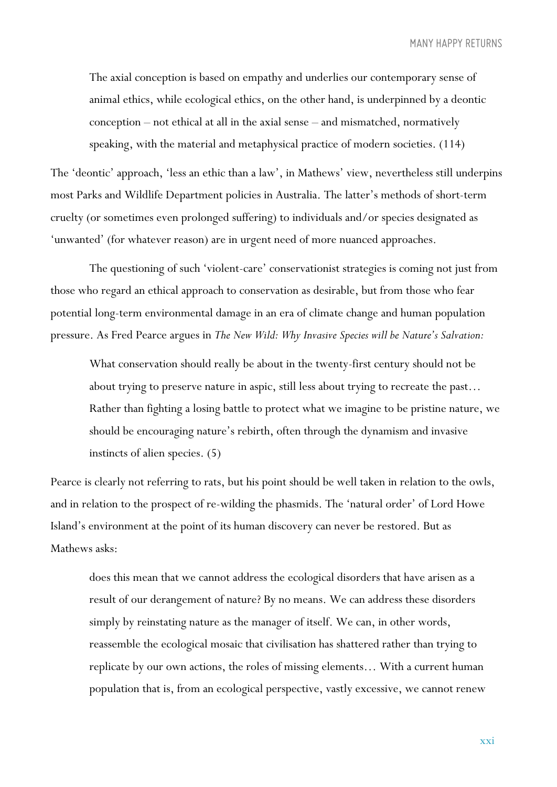The axial conception is based on empathy and underlies our contemporary sense of animal ethics, while ecological ethics, on the other hand, is underpinned by a deontic conception – not ethical at all in the axial sense – and mismatched, normatively speaking, with the material and metaphysical practice of modern societies. (114)

The 'deontic' approach, 'less an ethic than a law', in Mathews' view, nevertheless still underpins most Parks and Wildlife Department policies in Australia. The latter's methods of short-term cruelty (or sometimes even prolonged suffering) to individuals and/or species designated as 'unwanted' (for whatever reason) are in urgent need of more nuanced approaches.

The questioning of such 'violent-care' conservationist strategies is coming not just from those who regard an ethical approach to conservation as desirable, but from those who fear potential long-term environmental damage in an era of climate change and human population pressure. As Fred Pearce argues in *The New Wild: Why Invasive Species will be Nature's Salvation:*

What conservation should really be about in the twenty-first century should not be about trying to preserve nature in aspic, still less about trying to recreate the past… Rather than fighting a losing battle to protect what we imagine to be pristine nature, we should be encouraging nature's rebirth, often through the dynamism and invasive instincts of alien species. (5)

Pearce is clearly not referring to rats, but his point should be well taken in relation to the owls, and in relation to the prospect of re-wilding the phasmids. The 'natural order' of Lord Howe Island's environment at the point of its human discovery can never be restored. But as Mathews asks:

does this mean that we cannot address the ecological disorders that have arisen as a result of our derangement of nature? By no means. We can address these disorders simply by reinstating nature as the manager of itself. We can, in other words, reassemble the ecological mosaic that civilisation has shattered rather than trying to replicate by our own actions, the roles of missing elements… With a current human population that is, from an ecological perspective, vastly excessive, we cannot renew

xxi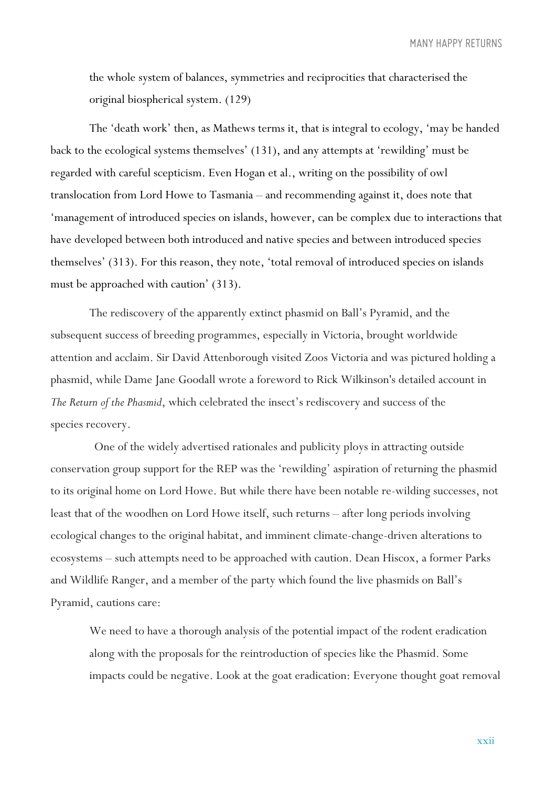the whole system of balances, symmetries and reciprocities that characterised the original biospherical system. (129)

The 'death work' then, as Mathews terms it, that is integral to ecology, 'may be handed back to the ecological systems themselves' (131), and any attempts at 'rewilding' must be regarded with careful scepticism. Even Hogan et al., writing on the possibility of owl translocation from Lord Howe to Tasmania – and recommending against it, does note that 'management of introduced species on islands, however, can be complex due to interactions that have developed between both introduced and native species and between introduced species themselves' (313). For this reason, they note, 'total removal of introduced species on islands must be approached with caution' (313).

The rediscovery of the apparently extinct phasmid on Ball's Pyramid, and the subsequent success of breeding programmes, especially in Victoria, brought worldwide attention and acclaim. Sir David Attenborough visited Zoos Victoria and was pictured holding a phasmid, while Dame Jane Goodall wrote a foreword to Rick Wilkinson's detailed account in *The Return of the Phasmid*, which celebrated the insect's rediscovery and success of the species recovery.

One of the widely advertised rationales and publicity ploys in attracting outside conservation group support for the REP was the 'rewilding' aspiration of returning the phasmid to its original home on Lord Howe. But while there have been notable re-wilding successes, not least that of the woodhen on Lord Howe itself, such returns – after long periods involving ecological changes to the original habitat, and imminent climate-change-driven alterations to ecosystems – such attempts need to be approached with caution. Dean Hiscox, a former Parks and Wildlife Ranger, and a member of the party which found the live phasmids on Ball's Pyramid, cautions care:

We need to have a thorough analysis of the potential impact of the rodent eradication along with the proposals for the reintroduction of species like the Phasmid. Some impacts could be negative. Look at the goat eradication: Everyone thought goat removal

xxii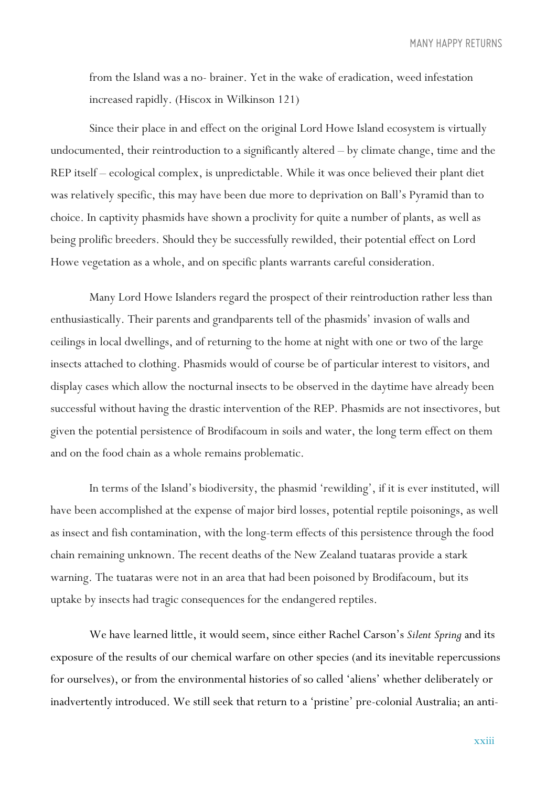from the Island was a no- brainer. Yet in the wake of eradication, weed infestation increased rapidly. (Hiscox in Wilkinson 121)

Since their place in and effect on the original Lord Howe Island ecosystem is virtually undocumented, their reintroduction to a significantly altered – by climate change, time and the REP itself – ecological complex, is unpredictable. While it was once believed their plant diet was relatively specific, this may have been due more to deprivation on Ball's Pyramid than to choice. In captivity phasmids have shown a proclivity for quite a number of plants, as well as being prolific breeders. Should they be successfully rewilded, their potential effect on Lord Howe vegetation as a whole, and on specific plants warrants careful consideration.

Many Lord Howe Islanders regard the prospect of their reintroduction rather less than enthusiastically. Their parents and grandparents tell of the phasmids' invasion of walls and ceilings in local dwellings, and of returning to the home at night with one or two of the large insects attached to clothing. Phasmids would of course be of particular interest to visitors, and display cases which allow the nocturnal insects to be observed in the daytime have already been successful without having the drastic intervention of the REP. Phasmids are not insectivores, but given the potential persistence of Brodifacoum in soils and water, the long term effect on them and on the food chain as a whole remains problematic.

In terms of the Island's biodiversity, the phasmid 'rewilding', if it is ever instituted, will have been accomplished at the expense of major bird losses, potential reptile poisonings, as well as insect and fish contamination, with the long-term effects of this persistence through the food chain remaining unknown. The recent deaths of the New Zealand tuataras provide a stark warning. The tuataras were not in an area that had been poisoned by Brodifacoum, but its uptake by insects had tragic consequences for the endangered reptiles.

We have learned little, it would seem, since either Rachel Carson's *Silent Spring* and its exposure of the results of our chemical warfare on other species (and its inevitable repercussions for ourselves), or from the environmental histories of so called 'aliens' whether deliberately or inadvertently introduced. We still seek that return to a 'pristine' pre-colonial Australia; an anti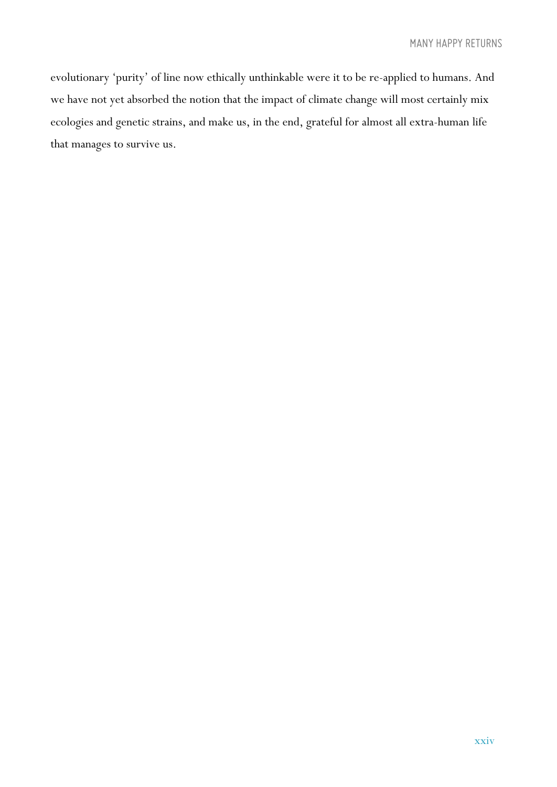evolutionary 'purity' of line now ethically unthinkable were it to be re-applied to humans. And we have not yet absorbed the notion that the impact of climate change will most certainly mix ecologies and genetic strains, and make us, in the end, grateful for almost all extra-human life that manages to survive us.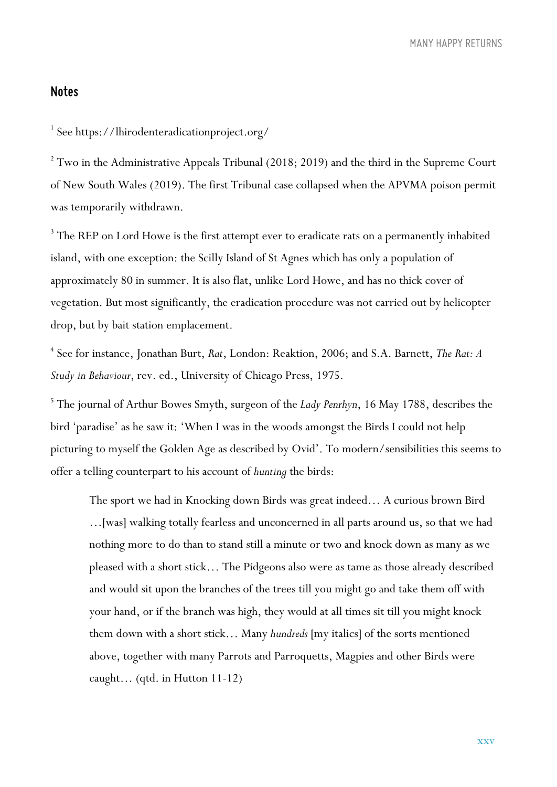#### *Notes*

<sup>1</sup> See https://lhirodenteradicationproject.org/

 $2$  Two in the Administrative Appeals Tribunal (2018; 2019) and the third in the Supreme Court of New South Wales (2019). The first Tribunal case collapsed when the APVMA poison permit was temporarily withdrawn.

<sup>3</sup> The REP on Lord Howe is the first attempt ever to eradicate rats on a permanently inhabited island, with one exception: the Scilly Island of St Agnes which has only a population of approximately 80 in summer. It is also flat, unlike Lord Howe, and has no thick cover of vegetation. But most significantly, the eradication procedure was not carried out by helicopter drop, but by bait station emplacement.

<sup>4</sup> See for instance, Jonathan Burt, *Rat*, London: Reaktion, 2006; and S.A. Barnett, *The Rat: A Study in Behaviour*, rev. ed., University of Chicago Press, 1975.

<sup>5</sup> The journal of Arthur Bowes Smyth, surgeon of the *Lady Penrhyn*, 16 May 1788, describes the bird 'paradise' as he saw it: 'When I was in the woods amongst the Birds I could not help picturing to myself the Golden Age as described by Ovid'. To modern/sensibilities this seems to offer a telling counterpart to his account of *hunting* the birds:

The sport we had in Knocking down Birds was great indeed… A curious brown Bird …[was] walking totally fearless and unconcerned in all parts around us, so that we had nothing more to do than to stand still a minute or two and knock down as many as we pleased with a short stick… The Pidgeons also were as tame as those already described and would sit upon the branches of the trees till you might go and take them off with your hand, or if the branch was high, they would at all times sit till you might knock them down with a short stick… Many *hundreds* [my italics] of the sorts mentioned above, together with many Parrots and Parroquetts, Magpies and other Birds were caught… (qtd. in Hutton 11-12)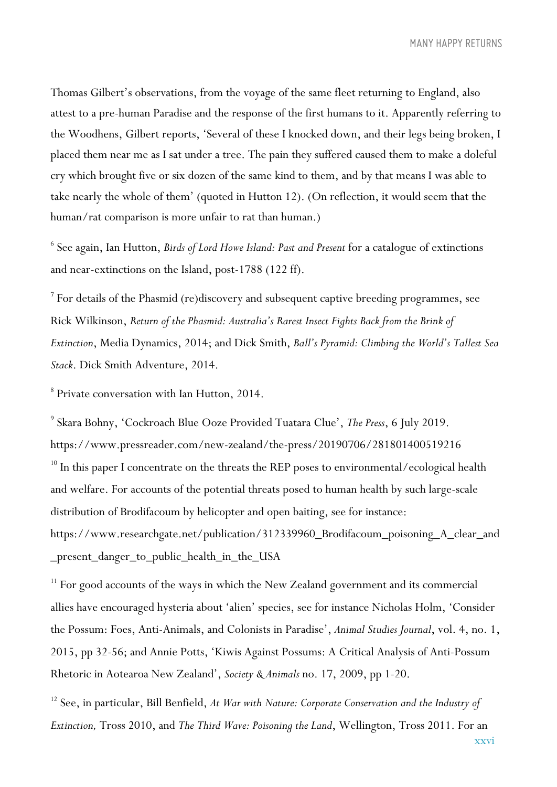Thomas Gilbert's observations, from the voyage of the same fleet returning to England, also attest to a pre-human Paradise and the response of the first humans to it. Apparently referring to the Woodhens, Gilbert reports, 'Several of these I knocked down, and their legs being broken, I placed them near me as I sat under a tree. The pain they suffered caused them to make a doleful cry which brought five or six dozen of the same kind to them, and by that means I was able to take nearly the whole of them' (quoted in Hutton 12). (On reflection, it would seem that the human/rat comparison is more unfair to rat than human.)

<sup>6</sup> See again, Ian Hutton, *Birds of Lord Howe Island: Past and Present* for a catalogue of extinctions and near-extinctions on the Island, post-1788 (122 ff).

<sup>7</sup> For details of the Phasmid (re)discovery and subsequent captive breeding programmes, see Rick Wilkinson, *Return of the Phasmid: Australia's Rarest Insect Fights Back from the Brink of Extinction*, Media Dynamics, 2014; and Dick Smith, *Ball's Pyramid: Climbing the World's Tallest Sea Stack*. Dick Smith Adventure, 2014.

<sup>8</sup> Private conversation with Ian Hutton, 2014.

<sup>9</sup> Skara Bohny, 'Cockroach Blue Ooze Provided Tuatara Clue', *The Press*, 6 July 2019. https://www.pressreader.com/new-zealand/the-press/20190706/281801400519216  $10$  In this paper I concentrate on the threats the REP poses to environmental/ecological health and welfare. For accounts of the potential threats posed to human health by such large-scale distribution of Brodifacoum by helicopter and open baiting, see for instance: https://www.researchgate.net/publication/312339960\_Brodifacoum\_poisoning\_A\_clear\_and \_present\_danger\_to\_public\_health\_in\_the\_USA

<sup>11</sup> For good accounts of the ways in which the New Zealand government and its commercial allies have encouraged hysteria about 'alien' species, see for instance Nicholas Holm, 'Consider the Possum: Foes, Anti-Animals, and Colonists in Paradise', *Animal Studies Journal*, vol. 4, no. 1, 2015, pp 32-56; and Annie Potts, 'Kiwis Against Possums: A Critical Analysis of Anti-Possum Rhetoric in Aotearoa New Zealand', *Society & Animals* no. 17, 2009, pp 1-20.

<sup>12</sup> See, in particular, Bill Benfield, *At War with Nature: Corporate Conservation and the Industry of Extinction,* Tross 2010, and *The Third Wave: Poisoning the Land*, Wellington, Tross 2011. For an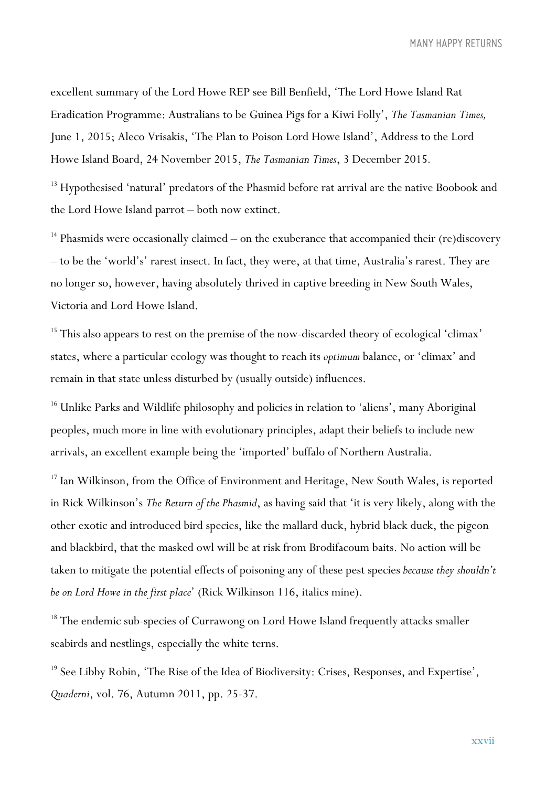excellent summary of the Lord Howe REP see Bill Benfield, 'The Lord Howe Island Rat Eradication Programme: Australians to be Guinea Pigs for a Kiwi Folly', *The Tasmanian Times,* June 1, 2015; Aleco Vrisakis, 'The Plan to Poison Lord Howe Island', Address to the Lord Howe Island Board, 24 November 2015, *The Tasmanian Times*, 3 December 2015*.*

<sup>13</sup> Hypothesised 'natural' predators of the Phasmid before rat arrival are the native Boobook and the Lord Howe Island parrot – both now extinct.

<sup>14</sup> Phasmids were occasionally claimed – on the exuberance that accompanied their (re)discovery – to be the 'world's' rarest insect. In fact, they were, at that time, Australia's rarest. They are no longer so, however, having absolutely thrived in captive breeding in New South Wales, Victoria and Lord Howe Island.

<sup>15</sup> This also appears to rest on the premise of the now-discarded theory of ecological 'climax' states, where a particular ecology was thought to reach its *optimum* balance, or 'climax' and remain in that state unless disturbed by (usually outside) influences.

<sup>16</sup> Unlike Parks and Wildlife philosophy and policies in relation to 'aliens', many Aboriginal peoples, much more in line with evolutionary principles, adapt their beliefs to include new arrivals, an excellent example being the 'imported' buffalo of Northern Australia.

<sup>17</sup> Ian Wilkinson, from the Office of Environment and Heritage, New South Wales, is reported in Rick Wilkinson's *The Return of the Phasmid*, as having said that 'it is very likely, along with the other exotic and introduced bird species, like the mallard duck, hybrid black duck, the pigeon and blackbird, that the masked owl will be at risk from Brodifacoum baits. No action will be taken to mitigate the potential effects of poisoning any of these pest species *because they shouldn't be on Lord Howe in the first place*' (Rick Wilkinson 116, italics mine).

<sup>18</sup> The endemic sub-species of Currawong on Lord Howe Island frequently attacks smaller seabirds and nestlings, especially the white terns.

 $19$  See Libby Robin, 'The Rise of the Idea of Biodiversity: Crises, Responses, and Expertise', *Quaderni*, vol. 76, Autumn 2011, pp. 25-37.

xxvii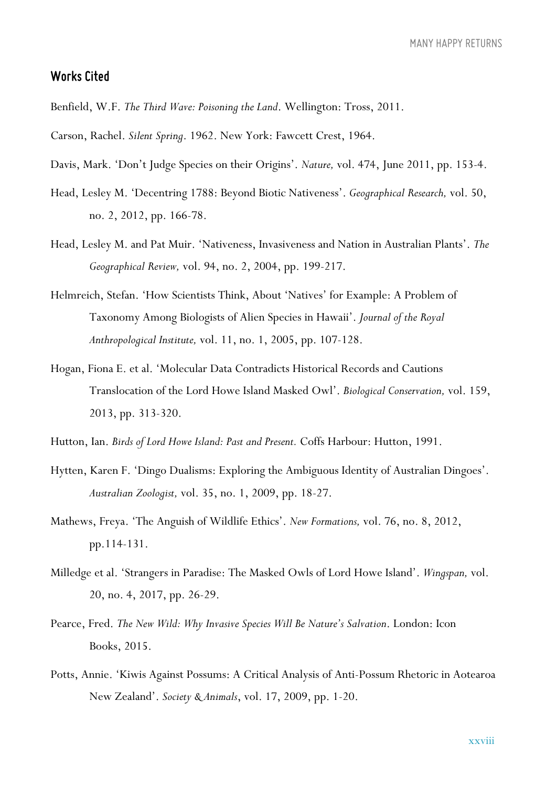#### *Works Cited*

Benfield, W.F. *The Third Wave: Poisoning the Land*. Wellington: Tross, 2011.

Carson, Rachel. *Silent Spring*. 1962. New York: Fawcett Crest, 1964.

- Davis, Mark. 'Don't Judge Species on their Origins'. *Nature,* vol. 474, June 2011, pp. 153-4.
- Head, Lesley M. 'Decentring 1788: Beyond Biotic Nativeness'. *Geographical Research,* vol. 50, no. 2, 2012, pp. 166-78.
- Head, Lesley M. and Pat Muir. 'Nativeness, Invasiveness and Nation in Australian Plants'. *The Geographical Review,* vol. 94, no. 2, 2004, pp. 199-217.
- Helmreich, Stefan. 'How Scientists Think, About 'Natives' for Example: A Problem of Taxonomy Among Biologists of Alien Species in Hawaii'. *Journal of the Royal Anthropological Institute,* vol. 11, no. 1, 2005, pp. 107-128.
- Hogan, Fiona E. et al. 'Molecular Data Contradicts Historical Records and Cautions Translocation of the Lord Howe Island Masked Owl'. *Biological Conservation,* vol. 159, 2013, pp. 313-320.
- Hutton, Ian. *Birds of Lord Howe Island: Past and Present.* Coffs Harbour: Hutton, 1991.
- Hytten, Karen F. 'Dingo Dualisms: Exploring the Ambiguous Identity of Australian Dingoes'. *Australian Zoologist,* vol. 35, no. 1, 2009, pp. 18-27.
- Mathews, Freya. 'The Anguish of Wildlife Ethics'. *New Formations,* vol. 76, no. 8, 2012, pp.114-131.
- Milledge et al. 'Strangers in Paradise: The Masked Owls of Lord Howe Island'. *Wingspan,* vol. 20, no. 4, 2017, pp. 26-29.
- Pearce, Fred. *The New Wild: Why Invasive Species Will Be Nature's Salvation*. London: Icon Books, 2015.
- Potts, Annie. 'Kiwis Against Possums: A Critical Analysis of Anti-Possum Rhetoric in Aotearoa New Zealand'. *Society & Animals*, vol. 17, 2009, pp. 1-20.